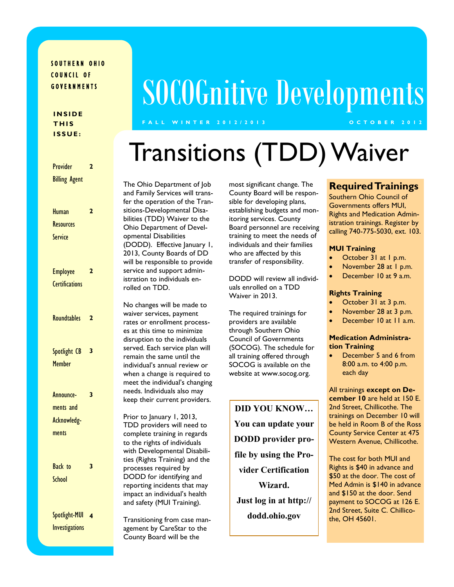### SOUTHERN OHIO COUNCIL OF G O V E R N M E N T S

### **I N S I D E T H I S I S S U E :**

| <b>Provider</b>       | 2                       |                                                |
|-----------------------|-------------------------|------------------------------------------------|
| <b>Billing Agent</b>  |                         | The Ohio De<br>and Family Se<br>fer the operat |
| <b>Human</b>          | $\overline{2}$          | sitions-Develo                                 |
| <b>Resources</b>      |                         | bilities (TDD)<br>Ohio Departr                 |
| <b>Service</b>        |                         | opmental Dis<br>(DODD). Eff<br>2013, County    |
|                       |                         | will be respor<br>service and su               |
| <b>Employee</b>       | $\overline{2}$          | istration to in                                |
| <b>Certifications</b> |                         | rolled on TDI                                  |
|                       |                         | No changes w                                   |
| <b>Roundtables</b>    | $\overline{2}$          | waiver service                                 |
|                       |                         | rates or enro                                  |
|                       |                         | es at this time<br>disruption to               |
|                       |                         | served. Each s                                 |
| Spotlight CB          | 3                       | remain the sa                                  |
| <b>Member</b>         |                         | individual's an                                |
|                       |                         | when a chang                                   |
|                       |                         | meet the indi<br>needs. Individ                |
| Announce-             | 3                       | keep their cu                                  |
| ments and             |                         |                                                |
| Acknowledg-           |                         | Prior to Janua                                 |
| ments                 |                         | <b>TDD</b> provide<br>complete trai            |
|                       |                         | to the rights                                  |
|                       |                         | with Develop                                   |
|                       |                         | ties (Rights T                                 |
| <b>Back</b> to        | 3                       | processes rec                                  |
| School                |                         | DODD for id<br>reporting inci                  |
|                       |                         | impact an indi                                 |
|                       |                         | and safety (M                                  |
| Spotlight-MUI         | $\overline{\mathbf{4}}$ | Transitioning                                  |
| <b>Investigations</b> |                         | agement by C                                   |
|                       |                         | $C_{\text{a}}$                                 |

# SOCOGnitive Developments

### **F A L L W I N T E R 2 0 1 2 / 2 0 1 3 O C T O B E R 2 0 1 2**

## Transitions (TDD) Waiver

partment of Job rvices will transtion of the Tranopmental Disa-**Waiver to the** ment of Develabilities fective January 1, Boards of DD nsible to provide upport admindividuals en- $D<sub>1</sub>$ 

vill be made to es, payment llment processe to minimize the individuals service plan will me until the inual review or e is required to vidual's changing luals also may rrent providers.

Prior 1, 2013, rs will need to ning in regards of individuals mental Disabiliraining) and the quired by lentifying and dents that may ividual's health UI Training).

from case man-CareStar to the County Board will be the

most significant change. The County Board will be responsible for developing plans, establishing budgets and monitoring services. County Board personnel are receiving training to meet the needs of individuals and their families who are affected by this transfer of responsibility.

DODD will review all individuals enrolled on a TDD Waiver in 2013.

The required trainings for providers are available through Southern Ohio Council of Governments (SOCOG). The schedule for all training offered through SOCOG is available on the website at www.socog.org.

**DID YOU KNOW… You can update your DODD provider profile by using the Provider Certification Wizard. Just log in at http:// dodd.ohio.gov** 

### **Required Trainings**

Southern Ohio Council of Governments offers MUI, Rights and Medication Administration trainings. Register by calling 740-775-5030, ext. 103.

#### **MUI Training**

- October 31 at 1 p.m.
- November 28 at 1 p.m.
- December 10 at 9 a.m.

#### **Rights Training**

- October 31 at 3 p.m.
- November 28 at 3 p.m.
- December 10 at 11 a.m.

#### **Medication Administration Training**

 December 5 and 6 from 8:00 a.m. to 4:00 p.m. each day

All trainings **except on December 10** are held at 150 E. 2nd Street, Chillicothe. The trainings on December 10 will be held in Room B of the Ross County Service Center at 475 Western Avenue, Chillicothe.

The cost for both MUI and Rights is \$40 in advance and \$50 at the door. The cost of Med Admin is \$140 in advance and \$150 at the door. Send payment to SOCOG at 126 E. 2nd Street, Suite C. Chillicothe, OH 45601.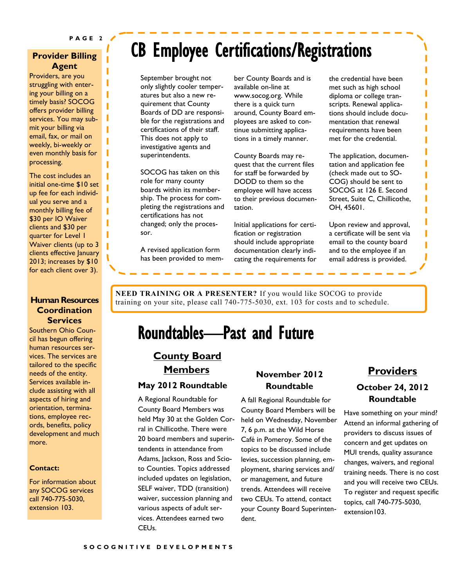ı

T Г

### **Provider Billing Agent**

Providers, are you struggling with entering your billing on a timely basis? SOCOG offers provider billing services. You may submit your billing via email, fax, or mail on weekly, bi-weekly or even monthly basis for processing.

The cost includes an initial one-time \$10 set up fee for each individual you serve and a monthly billing fee of \$30 per IO Waiver clients and \$30 per quarter for Level 1 Waiver clients (up to 3 clients effective January 2013; increases by \$10 for each client over 3).

### **Human Resources Coordination Services**

Southern Ohio Council has begun offering human resources services. The services are tailored to the specific needs of the entity. Services available include assisting with all aspects of hiring and orientation, terminations, employee records, benefits, policy development and much more.

#### **Contact:**

For information about any SOCOG services call 740-775-5030, extension 103.

## CB Employee Certifications/Registrations

September brought not only slightly cooler temperatures but also a new requirement that County Boards of DD are responsible for the registrations and certifications of their staff. This does not apply to investigative agents and superintendents.

SOCOG has taken on this role for many county boards within its membership. The process for completing the registrations and certifications has not changed; only the processor.

A revised application form has been provided to member County Boards and is available on-line at www.socog.org. While there is a quick turn around, County Board employees are asked to continue submitting applications in a timely manner.

County Boards may request that the current files for staff be forwarded by DODD to them so the employee will have access to their previous documentation.

Initial applications for certification or registration should include appropriate documentation clearly indicating the requirements for the credential have been met such as high school diploma or college transcripts. Renewal applications should include documentation that renewal requirements have been met for the credential.

П

П

The application, documentation and application fee (check made out to SO-COG) should be sent to SOCOG at 126 E. Second Street, Suite C, Chillicothe, OH, 45601.

Upon review and approval, a certificate will be sent via email to the county board and to the employee if an email address is provided.

**NEED TRAINING OR A PRESENTER?** If you would like SOCOG to provide training on your site, please call 740-775-5030, ext. 103 for costs and to schedule.

### Roundtables—Past and Future

### **County Board Members**

#### **May 2012 Roundtable**

A Regional Roundtable for County Board Members was held May 30 at the Golden Corral in Chillicothe. There were 20 board members and superintendents in attendance from Adams, Jackson, Ross and Scioto Counties. Topics addressed included updates on legislation, SELF waiver, TDD (transition) waiver, succession planning and various aspects of adult services. Attendees earned two CEUs.

### **November 2012 Roundtable**

A fall Regional Roundtable for County Board Members will be held on Wednesday, November 7, 6 p.m. at the Wild Horse Café in Pomeroy. Some of the topics to be discussed include levies, succession planning, employment, sharing services and/ or management, and future trends. Attendees will receive two CEUs. To attend, contact your County Board Superintendent.

### **Providers October 24, 2012 Roundtable**

Have something on your mind? Attend an informal gathering of providers to discuss issues of concern and get updates on MUI trends, quality assurance changes, waivers, and regional training needs. There is no cost and you will receive two CEUs. To register and request specific topics, call 740-775-5030, extension103.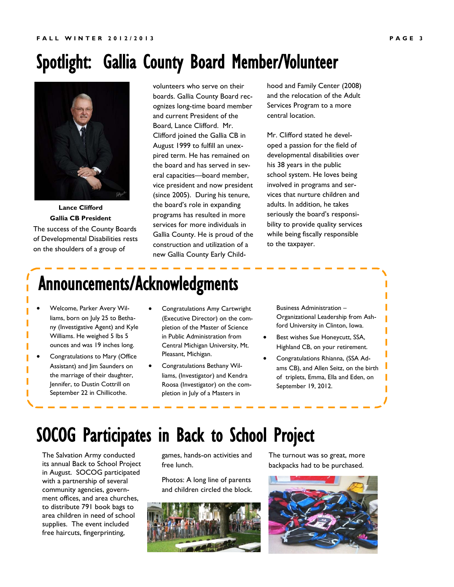### Spotlight: Gallia County Board Member/Volunteer



**Lance Clifford Gallia CB President** The success of the County Boards of Developmental Disabilities rests on the shoulders of a group of

volunteers who serve on their boards. Gallia County Board recognizes long-time board member and current President of the Board, Lance Clifford. Mr. Clifford joined the Gallia CB in August 1999 to fulfill an unexpired term. He has remained on the board and has served in several capacities—board member, vice president and now president (since 2005). During his tenure, the board's role in expanding programs has resulted in more services for more individuals in Gallia County. He is proud of the construction and utilization of a new Gallia County Early Child-

hood and Family Center (2008) and the relocation of the Adult Services Program to a more central location.

Mr. Clifford stated he developed a passion for the field of developmental disabilities over his 38 years in the public school system. He loves being involved in programs and services that nurture children and adults. In addition, he takes seriously the board's responsibility to provide quality services while being fiscally responsible to the taxpayer.

## Announcements/Acknowledgments

- Welcome, Parker Avery Williams, born on July 25 to Bethany (Investigative Agent) and Kyle Williams. He weighed 5 lbs 5 ounces and was 19 inches long.
- Congratulations to Mary (Office Assistant) and Jim Saunders on the marriage of their daughter, Jennifer, to Dustin Cottrill on September 22 in Chillicothe.
- Congratulations Amy Cartwright (Executive Director) on the completion of the Master of Science in Public Administration from Central Michigan University, Mt. Pleasant, Michigan.
- Congratulations Bethany Williams, (Investigator) and Kendra Roosa (Investigator) on the completion in July of a Masters in

Business Administration – Organizational Leadership from Ashford University in Clinton, Iowa.

- Best wishes Sue Honeycutt, SSA, Highland CB, on your retirement.
- Congratulations Rhianna, (SSA Ad-I ams CB), and Allen Seitz, on the birth п of triplets, Emma, Ella and Eden, on September 19, 2012.

### SOCOG Participates in Back to School Project

The Salvation Army conducted its annual Back to School Project in August. SOCOG participated with a partnership of several community agencies, government offices, and area churches, to distribute 791 book bags to area children in need of school supplies. The event included free haircuts, fingerprinting,

games, hands-on activities and free lunch.

Photos: A long line of parents and children circled the block.



The turnout was so great, more backpacks had to be purchased.